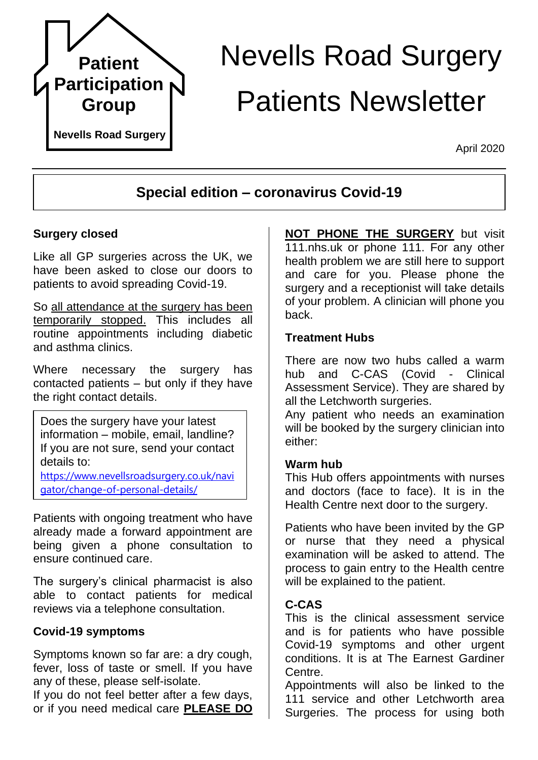

# Nevells Road Surgery Patients Newsletter

April 2020

# **Special edition – coronavirus Covid-19**

#### **Surgery closed**

Like all GP surgeries across the UK, we have been asked to close our doors to patients to avoid spreading Covid-19.

So all attendance at the surgery has been temporarily stopped. This includes all routine appointments including diabetic and asthma clinics.

Where necessary the surgery has contacted patients – but only if they have the right contact details.

Does the surgery have your latest information – mobile, email, landline? If you are not sure, send your contact details to:

[https://www.nevellsroadsurgery.co.uk/navi](https://www.nevellsroadsurgery.co.uk/navigator/change-of-personal-details/) [gator/change-of-personal-details/](https://www.nevellsroadsurgery.co.uk/navigator/change-of-personal-details/)

Patients with ongoing treatment who have already made a forward appointment are being given a phone consultation to ensure continued care.

The surgery's clinical pharmacist is also able to contact patients for medical reviews via a telephone consultation.

#### **Covid-19 symptoms**

Symptoms known so far are: a dry cough, fever, loss of taste or smell. If you have any of these, please self-isolate.

If you do not feel better after a few days, or if you need medical care **PLEASE DO** 

**NOT PHONE THE SURGERY** but visit 111.nhs.uk or phone 111. For any other health problem we are still here to support and care for you. Please phone the surgery and a receptionist will take details of your problem. A clinician will phone you back.

#### **Treatment Hubs**

There are now two hubs called a warm hub and C-CAS (Covid - Clinical Assessment Service). They are shared by all the Letchworth surgeries.

Any patient who needs an examination will be booked by the surgery clinician into either:

#### **Warm hub**

This Hub offers appointments with nurses and doctors (face to face). It is in the Health Centre next door to the surgery.

Patients who have been invited by the GP or nurse that they need a physical examination will be asked to attend. The process to gain entry to the Health centre will be explained to the patient.

#### **C-CAS**

This is the clinical assessment service and is for patients who have possible Covid-19 symptoms and other urgent conditions. It is at The Earnest Gardiner Centre.

Appointments will also be linked to the 111 service and other Letchworth area Surgeries. The process for using both